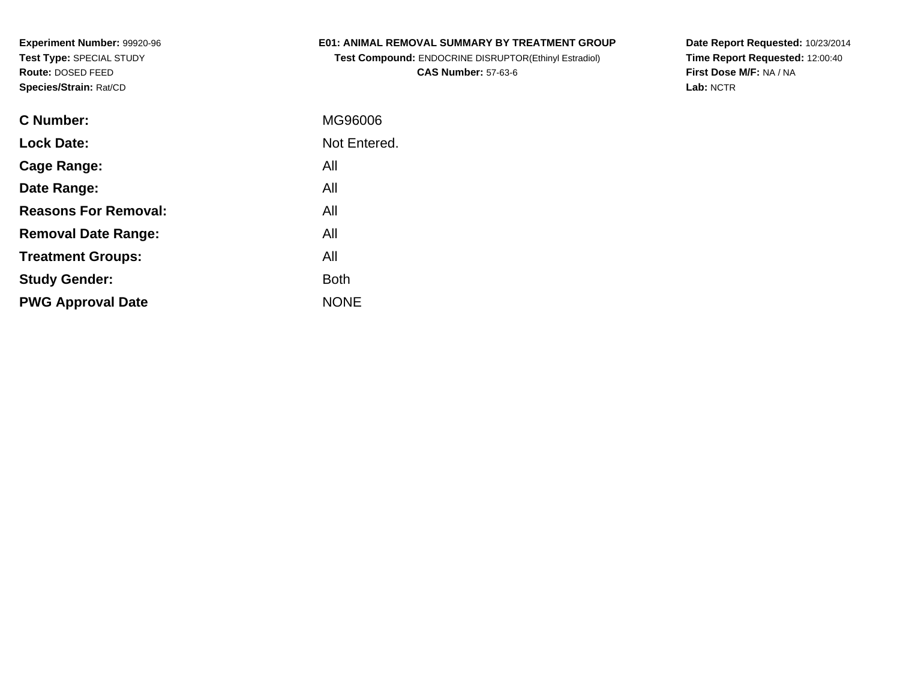### **E01: ANIMAL REMOVAL SUMMARY BY TREATMENT GROUP**

**Test Compound:** ENDOCRINE DISRUPTOR(Ethinyl Estradiol)**CAS Number:** 57-63-6

**Date Report Requested:** 10/23/2014 **Time Report Requested:** 12:00:40**First Dose M/F:** NA / NA**Lab:** NCTR

| C Number:                   | MG96006      |
|-----------------------------|--------------|
| <b>Lock Date:</b>           | Not Entered. |
| Cage Range:                 | All          |
| Date Range:                 | All          |
| <b>Reasons For Removal:</b> | All          |
| <b>Removal Date Range:</b>  | All          |
| <b>Treatment Groups:</b>    | All          |
| <b>Study Gender:</b>        | <b>Both</b>  |
| <b>PWG Approval Date</b>    | <b>NONE</b>  |
|                             |              |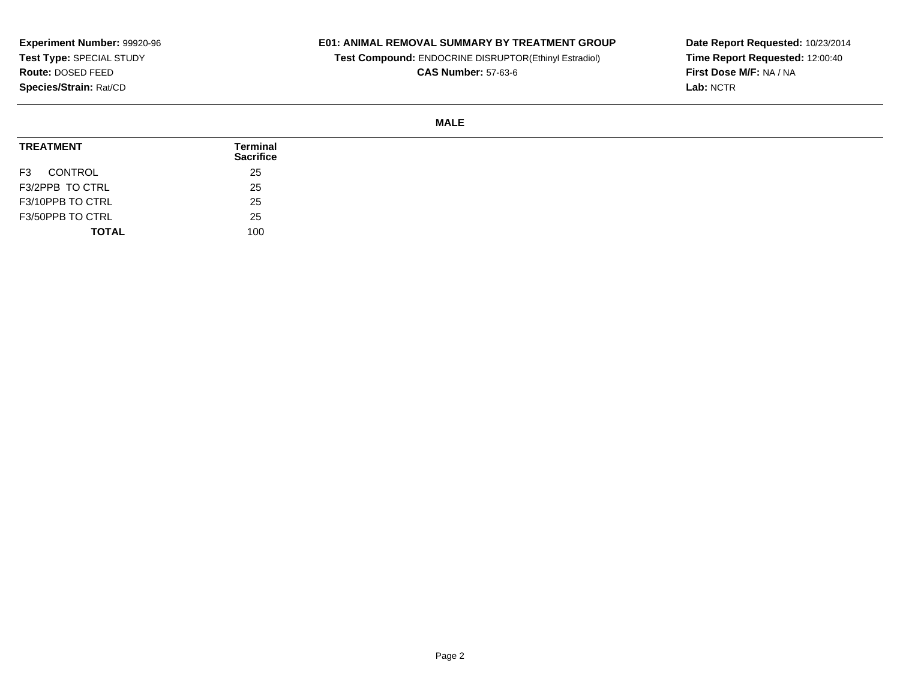## **E01: ANIMAL REMOVAL SUMMARY BY TREATMENT GROUP**

**Test Compound:** ENDOCRINE DISRUPTOR(Ethinyl Estradiol)

**CAS Number:** 57-63-6

**Date Report Requested:** 10/23/2014 **Time Report Requested:** 12:00:40**First Dose M/F:** NA / NA**Lab:** NCTR

#### **MALE**

| <b>TREATMENT</b>          | Terminal<br><b>Sacrifice</b> |
|---------------------------|------------------------------|
| CONTROL<br>F <sub>3</sub> | 25                           |
| F3/2PPB TO CTRL           | 25                           |
| F3/10PPB TO CTRL          | 25                           |
| F3/50PPB TO CTRL          | 25                           |
| <b>TOTAL</b>              | 100                          |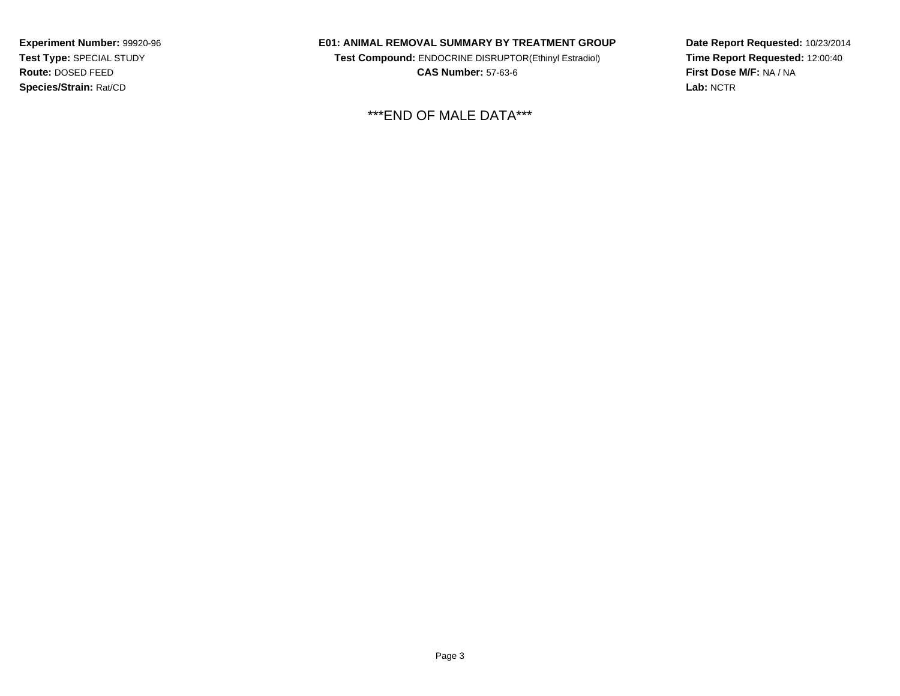#### **E01: ANIMAL REMOVAL SUMMARY BY TREATMENT GROUP**

**Test Compound:** ENDOCRINE DISRUPTOR(Ethinyl Estradiol)**CAS Number:** 57-63-6

\*\*\*END OF MALE DATA\*\*\*

**Date Report Requested:** 10/23/2014**Time Report Requested:** 12:00:40**First Dose M/F:** NA / NA**Lab:** NCTR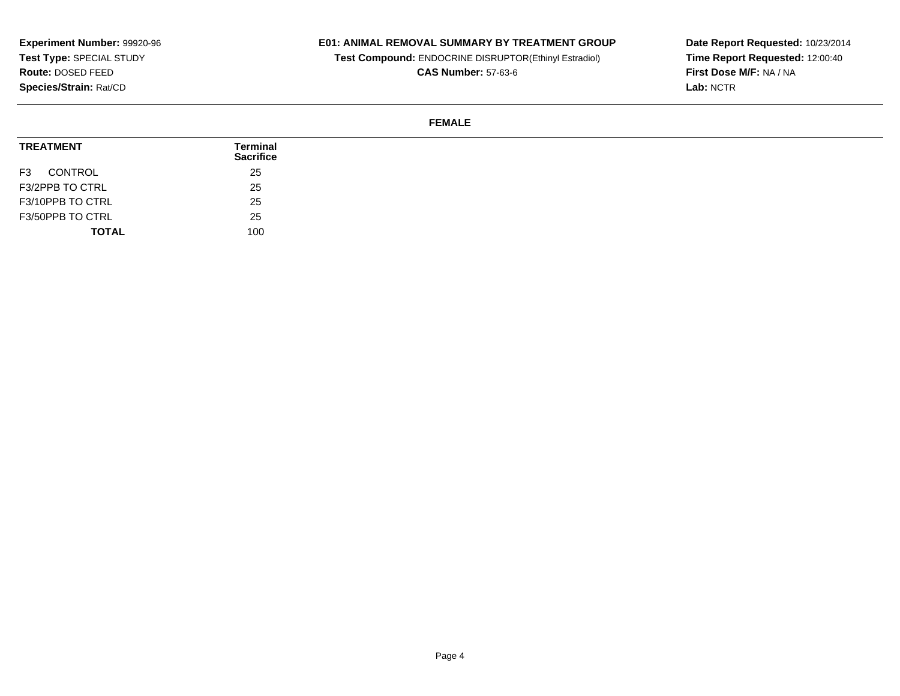## **E01: ANIMAL REMOVAL SUMMARY BY TREATMENT GROUP**

**Test Compound:** ENDOCRINE DISRUPTOR(Ethinyl Estradiol)

**CAS Number:** 57-63-6

**Date Report Requested:** 10/23/2014 **Time Report Requested:** 12:00:40**First Dose M/F:** NA / NA**Lab:** NCTR

#### **FEMALE**

| <b>TREATMENT</b>          | Terminal<br><b>Sacrifice</b> |
|---------------------------|------------------------------|
| CONTROL<br>F <sub>3</sub> | 25                           |
| F3/2PPB TO CTRL           | 25                           |
| F3/10PPB TO CTRL          | 25                           |
| F3/50PPB TO CTRL          | 25                           |
| <b>TOTAL</b>              | 100                          |